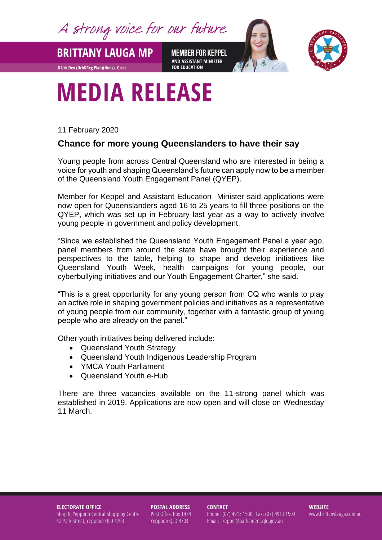A strong voice for our future

**BRITTANY LAUGA MP MEMBER FOR KEPPEL** AND ASSISTANT MINISTER **FOR EDUCATION** 



## **MEDIA RELEASE**

11 February 2020

**B Urb Dev (Urb&Reg Plan)(Hons), C.dec** 

## **Chance for more young Queenslanders to have their say**

Young people from across Central Queensland who are interested in being a voice for youth and shaping Queensland's future can apply now to be a member of the Queensland Youth Engagement Panel (QYEP).

Member for Keppel and Assistant Education Minister said applications were now open for Queenslanders aged 16 to 25 years to fill three positions on the QYEP, which was set up in February last year as a way to actively involve young people in government and policy development.

"Since we established the Queensland Youth Engagement Panel a year ago, panel members from around the state have brought their experience and perspectives to the table, helping to shape and develop initiatives like Queensland Youth Week, health campaigns for young people, our cyberbullying initiatives and our Youth Engagement Charter," she said.

"This is a great opportunity for any young person from CQ who wants to play an active role in shaping government policies and initiatives as a representative of young people from our community, together with a fantastic group of young people who are already on the panel."

Other youth initiatives being delivered include:

- Queensland Youth Strategy
- Queensland Youth Indigenous Leadership Program
- YMCA Youth Parliament
- Queensland Youth e-Hub

There are three vacancies available on the 11-strong panel which was established in 2019. Applications are now open and will close on Wednesday 11 March.

## **ELECTORATE OFFICE**

Shop 6, Yeppoon Central Shopping Centre 42 Park Street, Yeppoon QLD 4703

**POSTAL ADDRESS** Post Office Box 1474 Yeppoon QLD 4703

**CONTACT** Phone: (07) 4913 1500 Fax: (07) 4913 1509 Email: keppel@parliament.qld.gov.au

**WEBSITE** www.brittanylauga.com.au